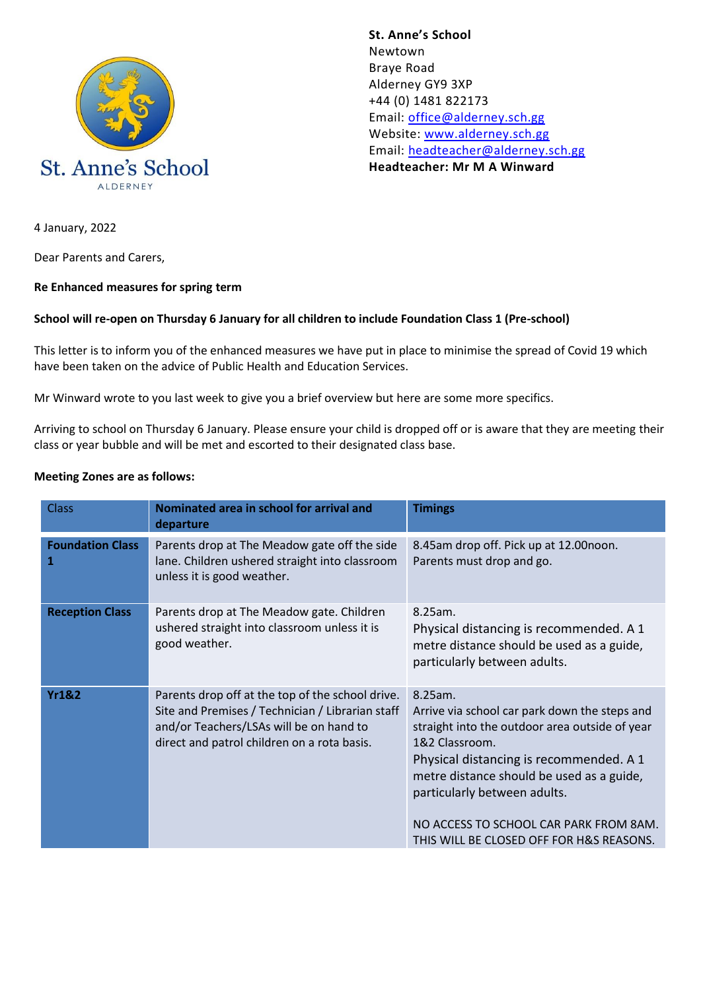

**St. Anne's School**  Newtown Braye Road Alderney GY9 3XP +44 (0) 1481 822173 Email: [office@alderney.sch.gg](mailto:office@alderney.sch.gg) Website: [www.alderney.sch.gg](http://www.alderney.sch.gg/) Email: [headteacher@alderney.sch.gg](mailto:headteacher@alderney.sch.gg) **Headteacher: Mr M A Winward**

4 January, 2022

Dear Parents and Carers,

#### **Re Enhanced measures for spring term**

#### **School will re-open on Thursday 6 January for all children to include Foundation Class 1 (Pre-school)**

This letter is to inform you of the enhanced measures we have put in place to minimise the spread of Covid 19 which have been taken on the advice of Public Health and Education Services.

Mr Winward wrote to you last week to give you a brief overview but here are some more specifics.

Arriving to school on Thursday 6 January. Please ensure your child is dropped off or is aware that they are meeting their class or year bubble and will be met and escorted to their designated class base.

#### **Meeting Zones are as follows:**

| <b>Class</b>                 | Nominated area in school for arrival and<br>departure                                                                                                                                          | <b>Timings</b>                                                                                                                                                                                                                                                                                                                             |
|------------------------------|------------------------------------------------------------------------------------------------------------------------------------------------------------------------------------------------|--------------------------------------------------------------------------------------------------------------------------------------------------------------------------------------------------------------------------------------------------------------------------------------------------------------------------------------------|
| <b>Foundation Class</b><br>1 | Parents drop at The Meadow gate off the side<br>lane. Children ushered straight into classroom<br>unless it is good weather.                                                                   | 8.45am drop off. Pick up at 12.00noon.<br>Parents must drop and go.                                                                                                                                                                                                                                                                        |
| <b>Reception Class</b>       | Parents drop at The Meadow gate. Children<br>ushered straight into classroom unless it is<br>good weather.                                                                                     | 8.25am.<br>Physical distancing is recommended. A 1<br>metre distance should be used as a guide,<br>particularly between adults.                                                                                                                                                                                                            |
| <b>Yr1&amp;2</b>             | Parents drop off at the top of the school drive.<br>Site and Premises / Technician / Librarian staff<br>and/or Teachers/LSAs will be on hand to<br>direct and patrol children on a rota basis. | 8.25am.<br>Arrive via school car park down the steps and<br>straight into the outdoor area outside of year<br>1&2 Classroom.<br>Physical distancing is recommended. A 1<br>metre distance should be used as a guide,<br>particularly between adults.<br>NO ACCESS TO SCHOOL CAR PARK FROM 8AM.<br>THIS WILL BE CLOSED OFF FOR H&S REASONS. |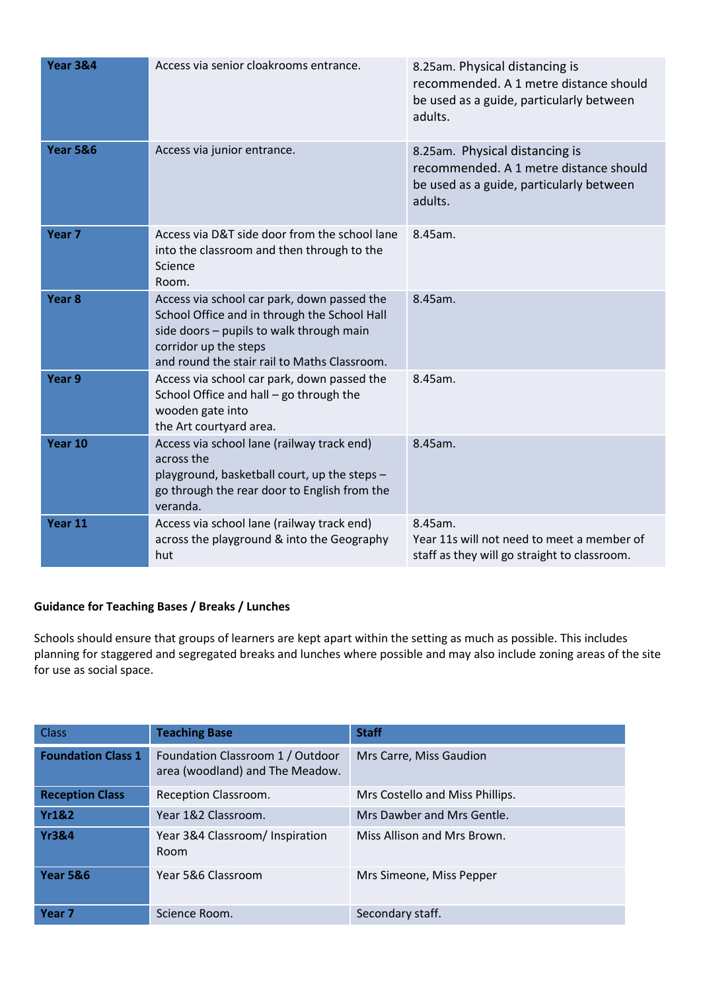| <b>Year 3&amp;4</b> | Access via senior cloakrooms entrance.                                                                                                                                                                           | 8.25am. Physical distancing is<br>recommended. A 1 metre distance should<br>be used as a guide, particularly between<br>adults. |
|---------------------|------------------------------------------------------------------------------------------------------------------------------------------------------------------------------------------------------------------|---------------------------------------------------------------------------------------------------------------------------------|
| <b>Year 5&amp;6</b> | Access via junior entrance.                                                                                                                                                                                      | 8.25am. Physical distancing is<br>recommended. A 1 metre distance should<br>be used as a guide, particularly between<br>adults. |
| Year <sub>7</sub>   | Access via D&T side door from the school lane<br>into the classroom and then through to the<br>Science<br>Room.                                                                                                  | 8.45am.                                                                                                                         |
| Year <sub>8</sub>   | Access via school car park, down passed the<br>School Office and in through the School Hall<br>side doors - pupils to walk through main<br>corridor up the steps<br>and round the stair rail to Maths Classroom. | 8.45am.                                                                                                                         |
| Year 9              | Access via school car park, down passed the<br>School Office and hall $-$ go through the<br>wooden gate into<br>the Art courtyard area.                                                                          | 8.45am.                                                                                                                         |
| Year 10             | Access via school lane (railway track end)<br>across the<br>playground, basketball court, up the steps -<br>go through the rear door to English from the<br>veranda.                                             | 8.45am.                                                                                                                         |
| Year 11             | Access via school lane (railway track end)<br>across the playground & into the Geography<br>hut                                                                                                                  | 8.45am.<br>Year 11s will not need to meet a member of<br>staff as they will go straight to classroom.                           |

# **Guidance for Teaching Bases / Breaks / Lunches**

Schools should ensure that groups of learners are kept apart within the setting as much as possible. This includes planning for staggered and segregated breaks and lunches where possible and may also include zoning areas of the site for use as social space.

| <b>Class</b>              | <b>Teaching Base</b>                                                | <b>Staff</b>                    |
|---------------------------|---------------------------------------------------------------------|---------------------------------|
| <b>Foundation Class 1</b> | Foundation Classroom 1 / Outdoor<br>area (woodland) and The Meadow. | Mrs Carre, Miss Gaudion         |
| <b>Reception Class</b>    | Reception Classroom.                                                | Mrs Costello and Miss Phillips. |
| <b>Yr1&amp;2</b>          | Year 1&2 Classroom.                                                 | Mrs Dawber and Mrs Gentle.      |
| <b>Yr3&amp;4</b>          | Year 3&4 Classroom/ Inspiration<br>Room                             | Miss Allison and Mrs Brown.     |
| <b>Year 5&amp;6</b>       | Year 5&6 Classroom                                                  | Mrs Simeone, Miss Pepper        |
| Year <sub>7</sub>         | Science Room.                                                       | Secondary staff.                |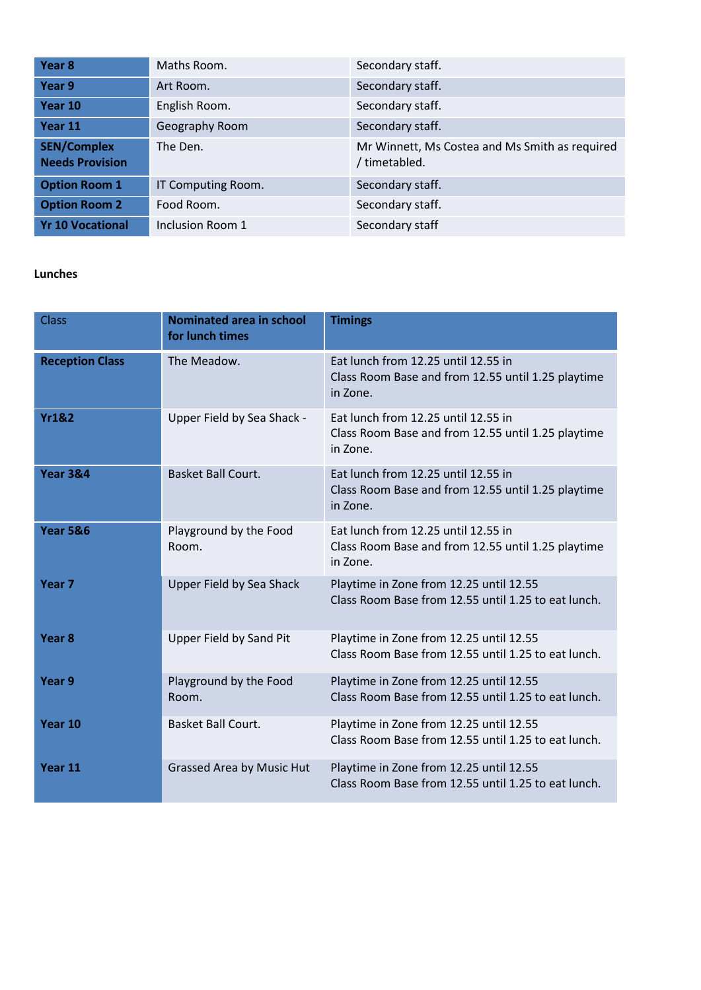| Year <sub>8</sub>                            | Maths Room.        | Secondary staff.                                                |
|----------------------------------------------|--------------------|-----------------------------------------------------------------|
| Year 9                                       | Art Room.          | Secondary staff.                                                |
| Year 10                                      | English Room.      | Secondary staff.                                                |
| Year 11                                      | Geography Room     | Secondary staff.                                                |
| <b>SEN/Complex</b><br><b>Needs Provision</b> | The Den.           | Mr Winnett, Ms Costea and Ms Smith as required<br>/ timetabled. |
| <b>Option Room 1</b>                         | IT Computing Room. | Secondary staff.                                                |
| <b>Option Room 2</b>                         | Food Room.         | Secondary staff.                                                |
| <b>Yr 10 Vocational</b>                      | Inclusion Room 1   | Secondary staff                                                 |

## **Lunches**

| <b>Class</b>           | <b>Nominated area in school</b><br>for lunch times | <b>Timings</b>                                                                                        |
|------------------------|----------------------------------------------------|-------------------------------------------------------------------------------------------------------|
| <b>Reception Class</b> | The Meadow.                                        | Eat lunch from 12.25 until 12.55 in<br>Class Room Base and from 12.55 until 1.25 playtime<br>in Zone. |
| <b>Yr1&amp;2</b>       | Upper Field by Sea Shack -                         | Eat lunch from 12.25 until 12.55 in<br>Class Room Base and from 12.55 until 1.25 playtime<br>in Zone. |
| <b>Year 3&amp;4</b>    | Basket Ball Court.                                 | Eat lunch from 12.25 until 12.55 in<br>Class Room Base and from 12.55 until 1.25 playtime<br>in Zone. |
| <b>Year 5&amp;6</b>    | Playground by the Food<br>Room.                    | Eat lunch from 12.25 until 12.55 in<br>Class Room Base and from 12.55 until 1.25 playtime<br>in Zone. |
| Year <sub>7</sub>      | Upper Field by Sea Shack                           | Playtime in Zone from 12.25 until 12.55<br>Class Room Base from 12.55 until 1.25 to eat lunch.        |
| Year <sub>8</sub>      | <b>Upper Field by Sand Pit</b>                     | Playtime in Zone from 12.25 until 12.55<br>Class Room Base from 12.55 until 1.25 to eat lunch.        |
| Year 9                 | Playground by the Food<br>Room.                    | Playtime in Zone from 12.25 until 12.55<br>Class Room Base from 12.55 until 1.25 to eat lunch.        |
| Year 10                | Basket Ball Court.                                 | Playtime in Zone from 12.25 until 12.55<br>Class Room Base from 12.55 until 1.25 to eat lunch.        |
| Year 11                | <b>Grassed Area by Music Hut</b>                   | Playtime in Zone from 12.25 until 12.55<br>Class Room Base from 12.55 until 1.25 to eat lunch.        |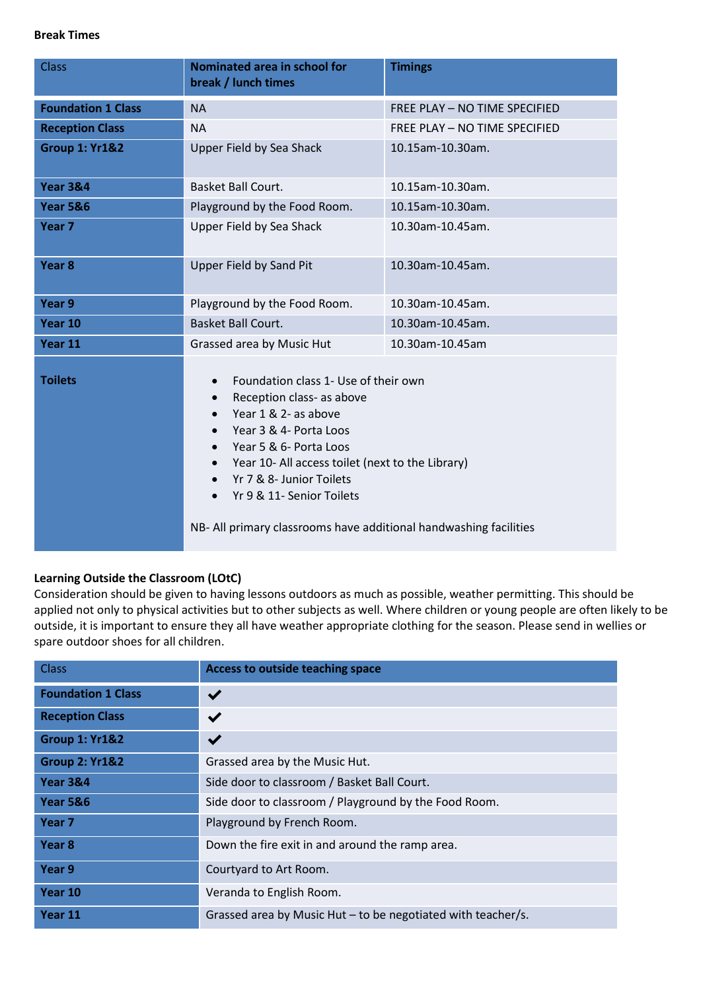## **Break Times**

| <b>Class</b>              | <b>Nominated area in school for</b><br>break / lunch times                                                                                                                                                                                                                                                                                                                                                                 | <b>Timings</b>                |
|---------------------------|----------------------------------------------------------------------------------------------------------------------------------------------------------------------------------------------------------------------------------------------------------------------------------------------------------------------------------------------------------------------------------------------------------------------------|-------------------------------|
| <b>Foundation 1 Class</b> | <b>NA</b>                                                                                                                                                                                                                                                                                                                                                                                                                  | FREE PLAY - NO TIME SPECIFIED |
| <b>Reception Class</b>    | <b>NA</b>                                                                                                                                                                                                                                                                                                                                                                                                                  | FREE PLAY - NO TIME SPECIFIED |
| <b>Group 1: Yr1&amp;2</b> | Upper Field by Sea Shack                                                                                                                                                                                                                                                                                                                                                                                                   | 10.15am-10.30am.              |
| <b>Year 3&amp;4</b>       | Basket Ball Court.                                                                                                                                                                                                                                                                                                                                                                                                         | 10.15am-10.30am.              |
| <b>Year 5&amp;6</b>       | Playground by the Food Room.                                                                                                                                                                                                                                                                                                                                                                                               | 10.15am-10.30am.              |
| Year <sub>7</sub>         | Upper Field by Sea Shack                                                                                                                                                                                                                                                                                                                                                                                                   | 10.30am-10.45am.              |
| Year <sub>8</sub>         | <b>Upper Field by Sand Pit</b>                                                                                                                                                                                                                                                                                                                                                                                             | 10.30am-10.45am.              |
| Year 9                    | Playground by the Food Room.                                                                                                                                                                                                                                                                                                                                                                                               | 10.30am-10.45am.              |
| Year 10                   | <b>Basket Ball Court.</b>                                                                                                                                                                                                                                                                                                                                                                                                  | 10.30am-10.45am.              |
| Year 11                   | Grassed area by Music Hut                                                                                                                                                                                                                                                                                                                                                                                                  | 10.30am-10.45am               |
| <b>Toilets</b>            | Foundation class 1- Use of their own<br>$\bullet$<br>Reception class- as above<br>$\bullet$<br>Year 1 & 2- as above<br>$\bullet$<br>Year 3 & 4- Porta Loos<br>$\bullet$<br>Year 5 & 6- Porta Loos<br>$\bullet$<br>Year 10- All access toilet (next to the Library)<br>$\bullet$<br>Yr 7 & 8- Junior Toilets<br>Yr 9 & 11- Senior Toilets<br>$\bullet$<br>NB- All primary classrooms have additional handwashing facilities |                               |

## **Learning Outside the Classroom (LOtC)**

Consideration should be given to having lessons outdoors as much as possible, weather permitting. This should be applied not only to physical activities but to other subjects as well. Where children or young people are often likely to be outside, it is important to ensure they all have weather appropriate clothing for the season. Please send in wellies or spare outdoor shoes for all children.

| <b>Class</b>              | Access to outside teaching space                             |
|---------------------------|--------------------------------------------------------------|
| <b>Foundation 1 Class</b> | $\checkmark$                                                 |
| <b>Reception Class</b>    | $\checkmark$                                                 |
| <b>Group 1: Yr1&amp;2</b> | $\blacktriangledown$                                         |
| <b>Group 2: Yr1&amp;2</b> | Grassed area by the Music Hut.                               |
| <b>Year 3&amp;4</b>       | Side door to classroom / Basket Ball Court.                  |
| <b>Year 5&amp;6</b>       | Side door to classroom / Playground by the Food Room.        |
| Year <sub>7</sub>         | Playground by French Room.                                   |
| Year <sub>8</sub>         | Down the fire exit in and around the ramp area.              |
| Year 9                    | Courtyard to Art Room.                                       |
| Year 10                   | Veranda to English Room.                                     |
| Year 11                   | Grassed area by Music Hut – to be negotiated with teacher/s. |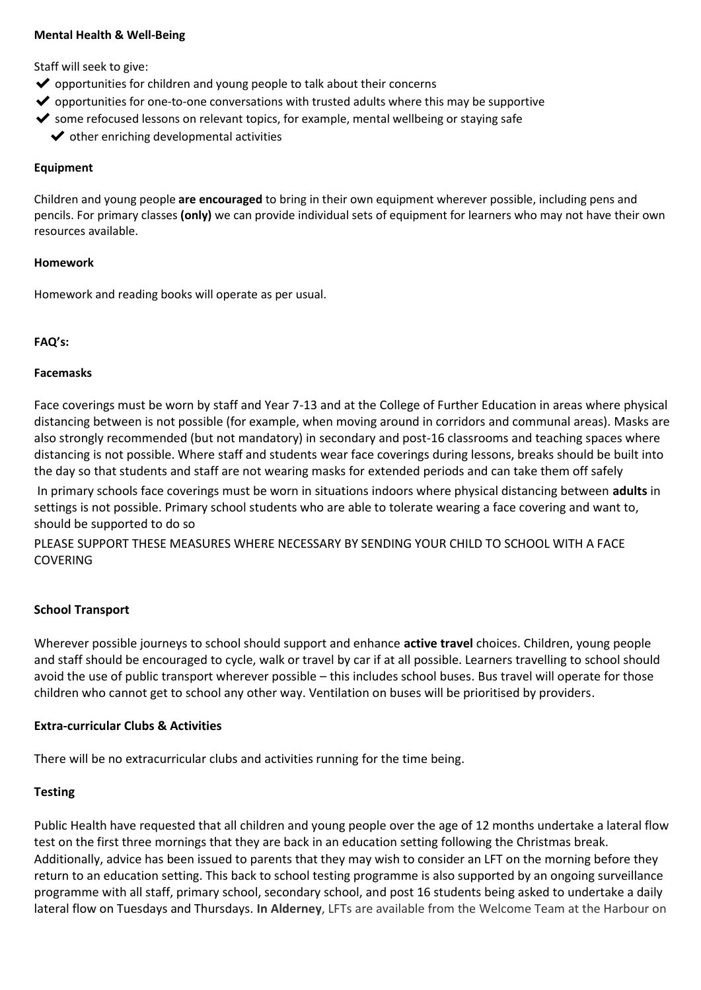### **Mental Health & Well-Being**

Staff will seek to give:

- ◆ opportunities for children and young people to talk about their concerns
- $\triangledown$  opportunities for one-to-one conversations with trusted adults where this may be supportive
- ◆ some refocused lessons on relevant topics, for example, mental wellbeing or staying safe
	- $\blacktriangleright$  other enriching developmental activities

#### **Equipment**

Children and young people **are encouraged** to bring in their own equipment wherever possible, including pens and pencils. For primary classes **(only)** we can provide individual sets of equipment for learners who may not have their own resources available.

### **Homework**

Homework and reading books will operate as per usual.

## **FAQ's:**

## **Facemasks**

Face coverings must be worn by staff and Year 7-13 and at the College of Further Education in areas where physical distancing between is not possible (for example, when moving around in corridors and communal areas). Masks are also strongly recommended (but not mandatory) in secondary and post-16 classrooms and teaching spaces where distancing is not possible. Where staff and students wear face coverings during lessons, breaks should be built into the day so that students and staff are not wearing masks for extended periods and can take them off safely

In primary schools face coverings must be worn in situations indoors where physical distancing between **adults** in settings is not possible. Primary school students who are able to tolerate wearing a face covering and want to, should be supported to do so

PLEASE SUPPORT THESE MEASURES WHERE NECESSARY BY SENDING YOUR CHILD TO SCHOOL WITH A FACE COVERING

## **School Transport**

Wherever possible journeys to school should support and enhance **active travel** choices. Children, young people and staff should be encouraged to cycle, walk or travel by car if at all possible. Learners travelling to school should avoid the use of public transport wherever possible – this includes school buses. Bus travel will operate for those children who cannot get to school any other way. Ventilation on buses will be prioritised by providers.

## **Extra-curricular Clubs & Activities**

There will be no extracurricular clubs and activities running for the time being.

# **Testing**

Public Health have requested that all children and young people over the age of 12 months undertake a lateral flow test on the first three mornings that they are back in an education setting following the Christmas break. Additionally, advice has been issued to parents that they may wish to consider an LFT on the morning before they return to an education setting. This back to school testing programme is also supported by an ongoing surveillance programme with all staff, primary school, secondary school, and post 16 students being asked to undertake a daily lateral flow on Tuesdays and Thursdays. **In Alderney**, LFTs are available from the Welcome Team at the Harbour on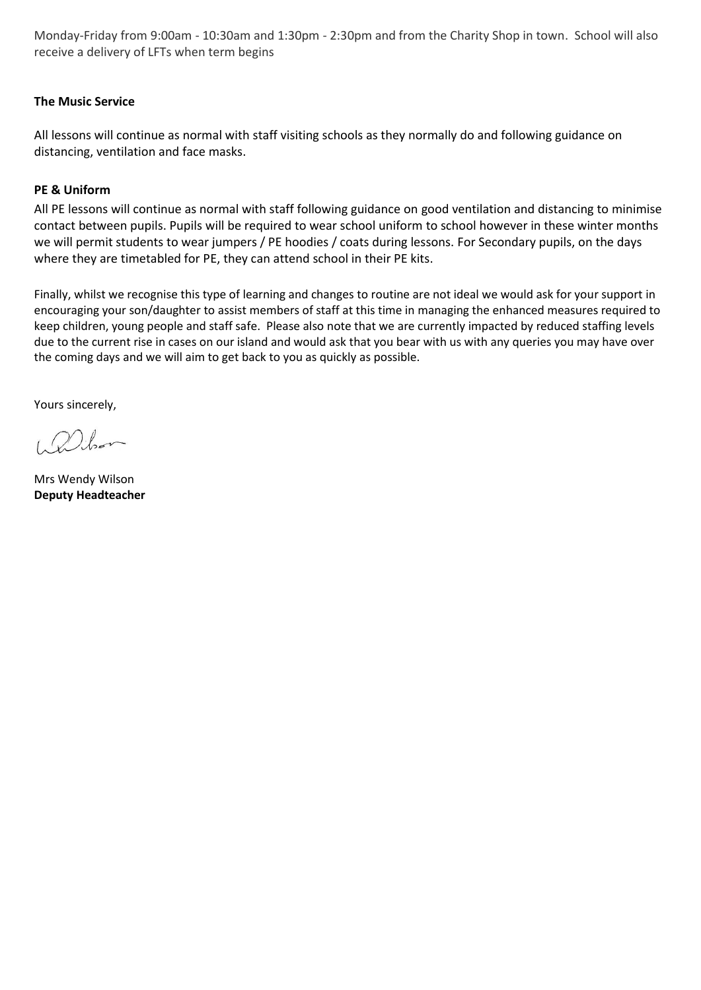Monday-Friday from 9:00am - 10:30am and 1:30pm - 2:30pm and from the Charity Shop in town. School will also receive a delivery of LFTs when term begins

# **The Music Service**

All lessons will continue as normal with staff visiting schools as they normally do and following guidance on distancing, ventilation and face masks.

# **PE & Uniform**

All PE lessons will continue as normal with staff following guidance on good ventilation and distancing to minimise contact between pupils. Pupils will be required to wear school uniform to school however in these winter months we will permit students to wear jumpers / PE hoodies / coats during lessons. For Secondary pupils, on the days where they are timetabled for PE, they can attend school in their PE kits.

Finally, whilst we recognise this type of learning and changes to routine are not ideal we would ask for your support in encouraging your son/daughter to assist members of staff at this time in managing the enhanced measures required to keep children, young people and staff safe. Please also note that we are currently impacted by reduced staffing levels due to the current rise in cases on our island and would ask that you bear with us with any queries you may have over the coming days and we will aim to get back to you as quickly as possible.

Yours sincerely,

Delor

Mrs Wendy Wilson **Deputy Headteacher**